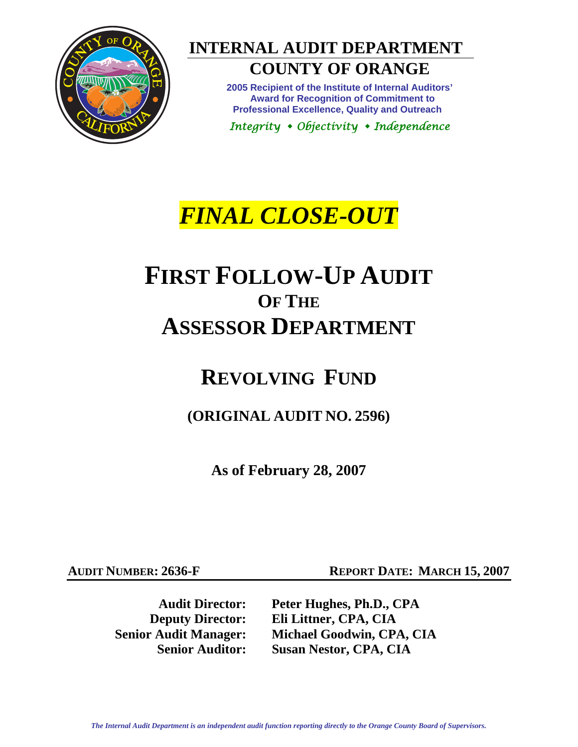

# **INTERNAL AUDIT DEPARTMENT COUNTY OF ORANGE**

**2005 Recipient of the Institute of Internal Auditors' Award for Recognition of Commitment to Professional Excellence, Quality and Outreach** 

*Integrity Objectivity Independence* 

# *FINAL CLOSE-OUT*

# **FIRST FOLLOW-UP AUDIT OF THE ASSESSOR DEPARTMENT**

# **REVOLVING FUND**

**(ORIGINAL AUDIT NO. 2596)** 

**As of February 28, 2007** 

**AUDIT NUMBER: 2636-F REPORT DATE: MARCH 15, 2007** 

**Audit Director: Peter Hughes, Ph.D., CPA Deputy Director: Eli Littner, CPA, CIA Senior Audit Manager: Michael Goodwin, CPA, CIA Senior Auditor: Susan Nestor, CPA, CIA**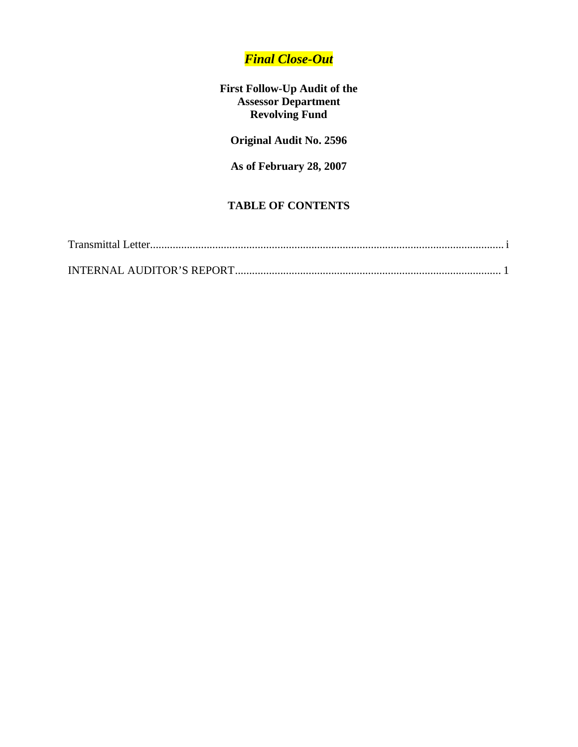## *Final Close-Out*

#### **First Follow-Up Audit of the Assessor Department Revolving Fund**

**Original Audit No. 2596** 

**As of February 28, 2007** 

## **TABLE OF CONTENTS**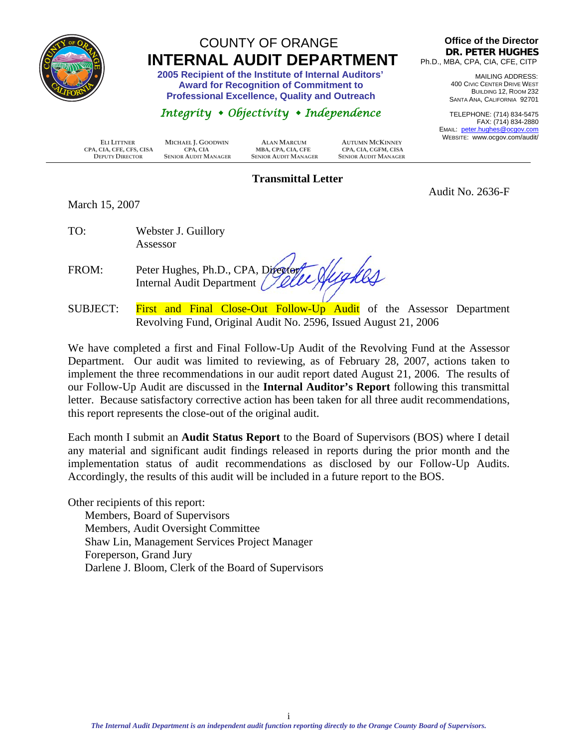<span id="page-2-0"></span>

# COUNTY OF ORANGE  **INTERNAL AUDIT DEPARTMENT 2005 Recipient of the Institute of Internal Auditors'**

 **Award for Recognition of Commitment to Professional Excellence, Quality and Outreach** 

## *Integrity Objectivity Independence*

**Office of the Director DR. PETER HUGHES** Ph.D., MBA, CPA, CIA, CFE, CITP

> MAILING ADDRESS: 400 CIVIC CENTER DRIVE WEST BUILDING 12, ROOM 232 SANTA ANA, CALIFORNIA 92701

TELEPHONE: (714) 834-5475 FAX: (714) 834-2880 EMAIL: peter.hughes@ocgov.com TE: www.ocgov.com/audit/

Audit No. 2636-F

| <b>ELI LITTNER</b>       | MICHAEL J. GOODWIN          | <b>ALAN MARCUM</b>          | <b>AUTUMN MCKINNEY</b>      | <b>VVEBSII</b> |
|--------------------------|-----------------------------|-----------------------------|-----------------------------|----------------|
| CPA, CIA, CFE, CFS, CISA | CPA. CIA                    | MBA, CPA, CIA, CFE          | CPA, CIA, CGFM, CISA        |                |
| <b>DEPUTY DIRECTOR</b>   | <b>SENIOR AUDIT MANAGER</b> | <b>SENIOR AUDIT MANAGER</b> | <b>SENIOR AUDIT MANAGER</b> |                |

#### **Transmittal Letter**

March 15, 2007

TO: Webster J. Guillory Assessor

Hughes FROM: Peter Hughes, Ph.D., CPA, Director Internal Audit Department

SUBJECT: First and Final Close-Out Follow-Up Audit of the Assessor Department Revolving Fund, Original Audit No. 2596, Issued August 21, 2006

We have completed a first and Final Follow-Up Audit of the Revolving Fund at the Assessor Department. Our audit was limited to reviewing, as of February 28, 2007, actions taken to implement the three recommendations in our audit report dated August 21, 2006. The results of our Follow-Up Audit are discussed in the **Internal Auditor's Report** following this transmittal letter. Because satisfactory corrective action has been taken for all three audit recommendations, this report represents the close-out of the original audit.

Each month I submit an **Audit Status Report** to the Board of Supervisors (BOS) where I detail any material and significant audit findings released in reports during the prior month and the implementation status of audit recommendations as disclosed by our Follow-Up Audits. Accordingly, the results of this audit will be included in a future report to the BOS.

Other recipients of this report:

Members, Board of Supervisors Members, Audit Oversight Committee Shaw Lin, Management Services Project Manager Foreperson, Grand Jury Darlene J. Bloom, Clerk of the Board of Supervisors